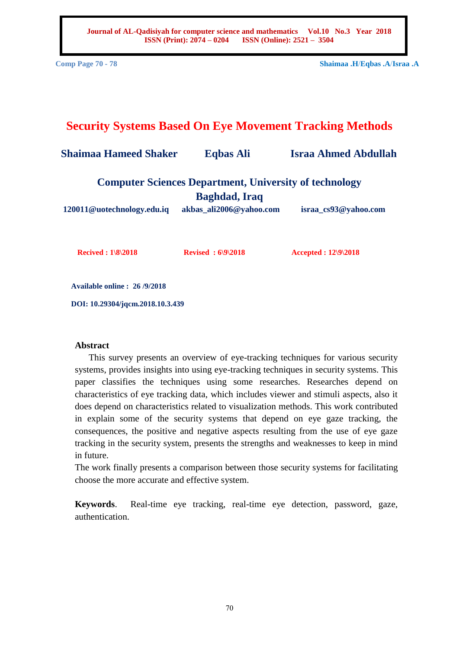**Journal of AL-Qadisiyah for computer science and mathematics Vol.10 No.3 Year 2018 ISSN (Print): 2074 – 0204 ISSN (Online): 2521 – 3504**

**Comp Page 70 - 78 Shaimaa .H**/**Eqbas .A**/**Israa .A**

# **Security Systems Based On Eye Movement Tracking Methods**

**Shaimaa Hameed Shaker Eqbas Ali Israa Ahmed Abdullah**

**Computer Sciences Department, University of technology Baghdad, Iraq**

**[120011@uotechnology.edu.iq](mailto:120011@uotechnology.edu.iq) akbas\_ali2006@yahoo.com israa\_cs93@yahoo.com**

**Recived : 1\8\2018 Revised : 6\9\2018 Accepted : 12\9\2018**

**Available online : 26 /9/2018**

**DOI: 10.29304/jqcm.2018.10.3.439**

## **Abstract**

 This survey presents an overview of eye-tracking techniques for various security systems, provides insights into using eye-tracking techniques in security systems. This paper classifies the techniques using some researches. Researches depend on characteristics of eye tracking data, which includes viewer and stimuli aspects, also it does depend on characteristics related to visualization methods. This work contributed in explain some of the security systems that depend on eye gaze tracking, the consequences, the positive and negative aspects resulting from the use of eye gaze tracking in the security system, presents the strengths and weaknesses to keep in mind in future.

The work finally presents a comparison between those security systems for facilitating choose the more accurate and effective system.

**Keywords**. Real-time eye tracking, real-time eye detection, password, gaze, authentication.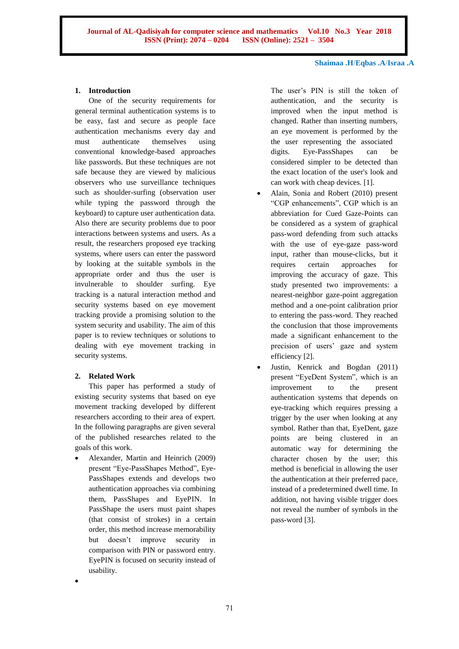#### **1. Introduction**

One of the security requirements for general terminal authentication systems is to be easy, fast and secure as people face authentication mechanisms every day and must authenticate themselves using conventional knowledge-based approaches like passwords. But these techniques are not safe because they are viewed by malicious observers who use surveillance techniques such as shoulder-surfing (observation user while typing the password through the keyboard) to capture user authentication data. Also there are security problems due to poor interactions between systems and users. As a result, the researchers proposed eye tracking systems, where users can enter the password by looking at the suitable symbols in the appropriate order and thus the user is invulnerable to shoulder surfing. Eye tracking is a natural interaction method and security systems based on eye movement tracking provide a promising solution to the system security and usability. The aim of this paper is to review techniques or solutions to dealing with eye movement tracking in security systems.

## **2. Related Work**

 $\bullet$ 

This paper has performed a study of existing security systems that based on eye movement tracking developed by different researchers according to their area of expert. In the following paragraphs are given several of the published researches related to the goals of this work.

 Alexander, Martin and Heinrich (2009) present "Eye-PassShapes Method", Eye-PassShapes extends and develops two authentication approaches via combining them, PassShapes and EyePIN. In PassShape the users must paint shapes (that consist of strokes) in a certain order, this method increase memorability but doesn't improve security in comparison with PIN or password entry. EyePIN is focused on security instead of usability.

The user's PIN is still the token of authentication, and the security is improved when the input method is changed. Rather than inserting numbers, an eye movement is performed by the the user representing the associated digits. Eye-PassShapes can be considered simpler to be detected than the exact location of the user's look and can work with cheap devices. [1].

- Alain, Sonia and Robert (2010) present "CGP enhancements", CGP which is an abbreviation for Cued Gaze-Points can be considered as a system of graphical pass-word defending from such attacks with the use of eye-gaze pass-word input, rather than mouse-clicks, but it requires certain approaches for improving the accuracy of gaze. This study presented two improvements: a nearest-neighbor gaze-point aggregation method and a one-point calibration prior to entering the pass-word. They reached the conclusion that those improvements made a significant enhancement to the precision of users' gaze and system efficiency [2].
- Justin, Kenrick and Bogdan (2011) present "EyeDent System", which is an improvement to the present authentication systems that depends on eye-tracking which requires pressing a trigger by the user when looking at any symbol. Rather than that, EyeDent, gaze points are being clustered in an automatic way for determining the character chosen by the user; this method is beneficial in allowing the user the authentication at their preferred pace, instead of a predetermined dwell time. In addition, not having visible trigger does not reveal the number of symbols in the pass-word [3].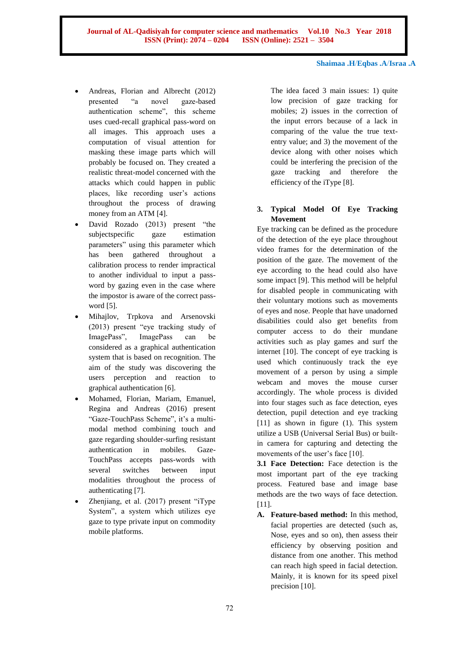- Andreas, Florian and Albrecht (2012) presented "a novel gaze-based authentication scheme", this scheme uses cued-recall graphical pass-word on all images. This approach uses a computation of visual attention for masking these image parts which will probably be focused on. They created a realistic threat-model concerned with the attacks which could happen in public places, like recording user's actions throughout the process of drawing money from an ATM [4].
- David Rozado (2013) present "the subjectspecific gaze estimation parameters" using this parameter which has been gathered throughout a calibration process to render impractical to another individual to input a password by gazing even in the case where the impostor is aware of the correct password [5].
- Mihajlov, Trpkova and Arsenovski (2013) present "eye tracking study of ImagePass", ImagePass can be considered as a graphical authentication system that is based on recognition. The aim of the study was discovering the users perception and reaction to graphical authentication [6].
- Mohamed, Florian, Mariam, Emanuel, Regina and Andreas (2016) present "Gaze-TouchPass Scheme", it's a multimodal method combining touch and gaze regarding shoulder-surfing resistant authentication in mobiles. Gaze-TouchPass accepts pass-words with several switches between input modalities throughout the process of authenticating [7].
- Zhenjiang, et al. (2017) present "iType System", a system which utilizes eye gaze to type private input on commodity mobile platforms.

The idea faced 3 main issues: 1) quite low precision of gaze tracking for mobiles; 2) issues in the correction of the input errors because of a lack in comparing of the value the true textentry value; and 3) the movement of the device along with other noises which could be interfering the precision of the gaze tracking and therefore the efficiency of the iType [8].

## **3. Typical Model Of Eye Tracking Movement**

Eye tracking can be defined as the procedure of the detection of the eye place throughout video frames for the determination of the position of the gaze. The movement of the eye according to the head could also have some impact [9]. This method will be helpful for disabled people in communicating with their voluntary motions such as movements of eyes and nose. People that have unadorned disabilities could also get benefits from computer access to do their mundane activities such as play games and surf the internet [10]. The concept of eye tracking is used which continuously track the eye movement of a person by using a simple webcam and moves the mouse curser accordingly. The whole process is divided into four stages such as face detection, eyes detection, pupil detection and eye tracking [11] as shown in figure (1). This system utilize a USB (Universal Serial Bus) or builtin camera for capturing and detecting the movements of the user's face [10].

**3.1 Face Detection:** Face detection is the most important part of the eye tracking process. Featured base and image base methods are the two ways of face detection. [11].

**A. Feature-based method:** In this method, facial properties are detected (such as, Nose, eyes and so on), then assess their efficiency by observing position and distance from one another. This method can reach high speed in facial detection. Mainly, it is known for its speed pixel precision [10].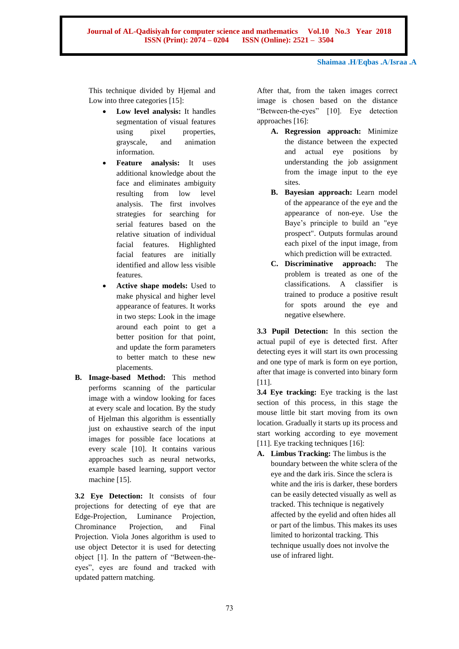**Journal of AL-Qadisiyah for computer science and mathematics Vol.10 No.3 Year 2018 ISSN (Print): 2074 – 0204 ISSN (Online): 2521 – 3504**

**Shaimaa .H**/**Eqbas .A**/**Israa .A**

This technique divided by Hjemal and Low into three categories [15]:

- **Low level analysis:** It handles segmentation of visual features using pixel properties, grayscale, and animation information.
- **Feature analysis:** It uses additional knowledge about the face and eliminates ambiguity resulting from low level analysis. The first involves strategies for searching for serial features based on the relative situation of individual facial features. Highlighted facial features are initially identified and allow less visible features.
- **Active shape models:** Used to make physical and higher level appearance of features. It works in two steps: Look in the image around each point to get a better position for that point, and update the form parameters to better match to these new placements.
- **B. Image-based Method:** This method performs scanning of the particular image with a window looking for faces at every scale and location. By the study of Hjelman this algorithm is essentially just on exhaustive search of the input images for possible face locations at every scale [10]. It contains various approaches such as neural networks, example based learning, support vector machine [15].

**3.2 Eye Detection:** It consists of four projections for detecting of eye that are Edge-Projection, Luminance Projection, Chrominance Projection, and Final Projection. Viola Jones algorithm is used to use object Detector it is used for detecting object [1]. In the pattern of "Between-theeyes", eyes are found and tracked with updated pattern matching.

After that, from the taken images correct image is chosen based on the distance "Between-the-eyes" [10]. Eye detection approaches [16]:

- **A. Regression approach:** Minimize the distance between the expected and actual eye positions by understanding the job assignment from the image input to the eye sites.
- **B. Bayesian approach:** Learn model of the appearance of the eye and the appearance of non-eye. Use the Baye's principle to build an "eye prospect". Outputs formulas around each pixel of the input image, from which prediction will be extracted.
- **C. Discriminative approach:** The problem is treated as one of the classifications. A classifier is trained to produce a positive result for spots around the eye and negative elsewhere.

**3.3 Pupil Detection:** In this section the actual pupil of eye is detected first. After detecting eyes it will start its own processing and one type of mark is form on eye portion, after that image is converted into binary form [11].

**3.4 Eye tracking:** Eye tracking is the last section of this process, in this stage the mouse little bit start moving from its own location. Gradually it starts up its process and start working according to eye movement [11]. Eye tracking techniques [16]:

**A. Limbus Tracking:** The limbus is the boundary between the white sclera of the eye and the dark iris. Since the sclera is white and the iris is darker, these borders can be easily detected visually as well as tracked. This technique is negatively affected by the eyelid and often hides all or part of the limbus. This makes its uses limited to horizontal tracking. This technique usually does not involve the use of infrared light.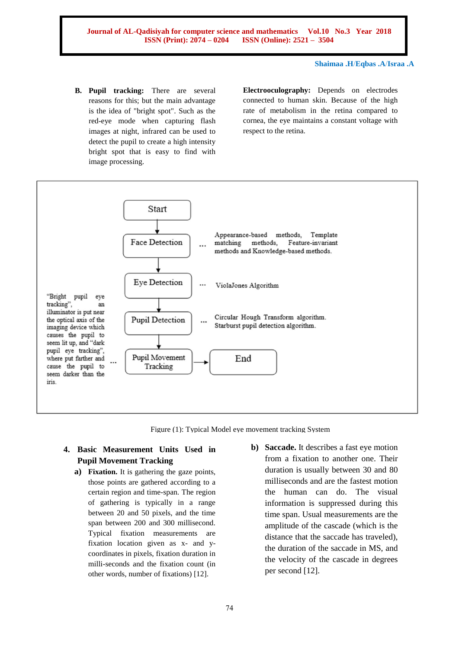**B. Pupil tracking:** There are several reasons for this; but the main advantage is the idea of "bright spot". Such as the red-eye mode when capturing flash images at night, infrared can be used to detect the pupil to create a high intensity bright spot that is easy to find with image processing.

**Electrooculography:** Depends on electrodes connected to human skin. Because of the high rate of metabolism in the retina compared to cornea, the eye maintains a constant voltage with respect to the retina.



Figure (1): Typical Model eye movement tracking System

# **4. Basic Measurement Units Used in Pupil Movement Tracking**

- **a) Fixation.** It is gathering the gaze points, those points are gathered according to a certain region and time-span. The region of gathering is typically in a range between 20 and 50 pixels, and the time span between 200 and 300 millisecond. Typical fixation measurements are fixation location given as x- and ycoordinates in pixels, fixation duration in milli-seconds and the fixation count (in other words, number of fixations) [12].
- **b) Saccade.** It describes a fast eye motion from a fixation to another one. Their duration is usually between 30 and 80 milliseconds and are the fastest motion the human can do. The visual information is suppressed during this time span. Usual measurements are the amplitude of the cascade (which is the distance that the saccade has traveled), the duration of the saccade in MS, and the velocity of the cascade in degrees per second [12].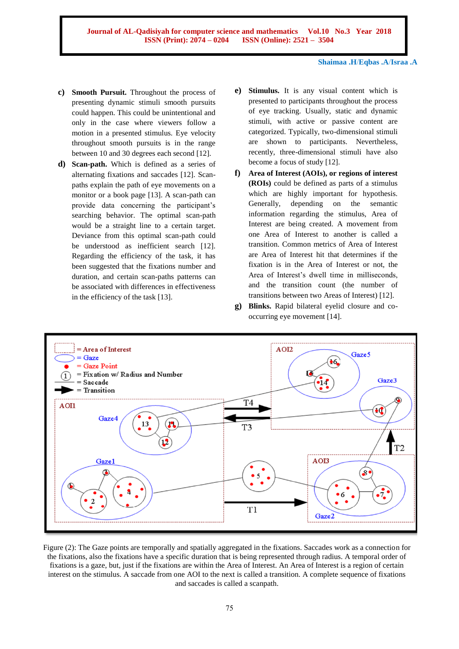- **c) Smooth Pursuit.** Throughout the process of presenting dynamic stimuli smooth pursuits could happen. This could be unintentional and only in the case where viewers follow a motion in a presented stimulus. Eye velocity throughout smooth pursuits is in the range between 10 and 30 degrees each second [12].
- **d) Scan-path.** Which is defined as a series of alternating fixations and saccades [12]. Scanpaths explain the path of eye movements on a monitor or a book page [13]. A scan-path can provide data concerning the participant's searching behavior. The optimal scan-path would be a straight line to a certain target. Deviance from this optimal scan-path could be understood as inefficient search [12]. Regarding the efficiency of the task, it has been suggested that the fixations number and duration, and certain scan-paths patterns can be associated with differences in effectiveness in the efficiency of the task [13].
- **e) Stimulus.** It is any visual content which is presented to participants throughout the process of eye tracking. Usually, static and dynamic stimuli, with active or passive content are categorized. Typically, two-dimensional stimuli are shown to participants. Nevertheless, recently, three-dimensional stimuli have also become a focus of study [12].
- **f) Area of Interest (AOIs), or regions of interest (ROIs)** could be defined as parts of a stimulus which are highly important for hypothesis. Generally, depending on the semantic information regarding the stimulus, Area of Interest are being created. A movement from one Area of Interest to another is called a transition. Common metrics of Area of Interest are Area of Interest hit that determines if the fixation is in the Area of Interest or not, the Area of Interest's dwell time in milliseconds, and the transition count (the number of transitions between two Areas of Interest) [12].
- **g) Blinks.** Rapid bilateral eyelid closure and cooccurring eye movement [14].



Figure (2): The Gaze points are temporally and spatially aggregated in the fixations. Saccades work as a connection for the fixations, also the fixations have a specific duration that is being represented through radius. A temporal order of fixations is a gaze, but, just if the fixations are within the Area of Interest. An Area of Interest is a region of certain interest on the stimulus. A saccade from one AOI to the next is called a transition. A complete sequence of fixations and saccades is called a scanpath.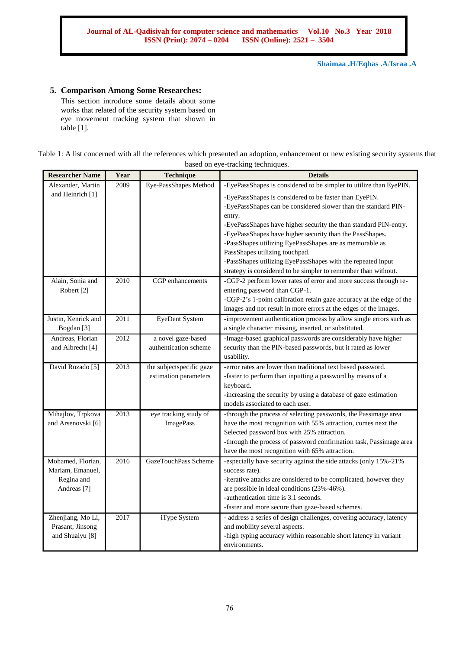#### **5. Comparison Among Some Researches:**

This section introduce some details about some works that related of the security system based on eye movement tracking system that shown in table [1].

# Table 1: A list concerned with all the references which presented an adoption, enhancement or new existing security systems that based on eye-tracking techniques.

| <b>Researcher Name</b>      | Year | Technique                | <b>Details</b>                                                                                                     |
|-----------------------------|------|--------------------------|--------------------------------------------------------------------------------------------------------------------|
| Alexander, Martin           | 2009 | Eye-PassShapes Method    | -EyePassShapes is considered to be simpler to utilize than EyePIN.                                                 |
| and Heinrich [1]            |      |                          | -EyePassShapes is considered to be faster than EyePIN.                                                             |
|                             |      |                          | -EyePassShapes can be considered slower than the standard PIN-                                                     |
|                             |      |                          | entry.                                                                                                             |
|                             |      |                          | -EyePassShapes have higher security the than standard PIN-entry.                                                   |
|                             |      |                          | -EyePassShapes have higher security than the PassShapes.                                                           |
|                             |      |                          | -PassShapes utilizing EyePassShapes are as memorable as<br>PassShapes utilizing touchpad.                          |
|                             |      |                          | -PassShapes utilizing EyePassShapes with the repeated input                                                        |
|                             |      |                          | strategy is considered to be simpler to remember than without.                                                     |
| Alain, Sonia and            | 2010 | CGP enhancements         | -CGP-2 perform lower rates of error and more success through re-                                                   |
| Robert [2]                  |      |                          | entering password than CGP-1.                                                                                      |
|                             |      |                          | -CGP-2's 1-point calibration retain gaze accuracy at the edge of the                                               |
|                             |      |                          | images and not result in more errors at the edges of the images.                                                   |
| Justin, Kenrick and         | 2011 | <b>EyeDent System</b>    | -improvement authentication process by allow single errors such as                                                 |
| Bogdan <sup>[3]</sup>       |      |                          | a single character missing, inserted, or substituted.                                                              |
| Andreas, Florian            | 2012 | a novel gaze-based       | -Image-based graphical passwords are considerably have higher                                                      |
| and Albrecht <sup>[4]</sup> |      | authentication scheme    | security than the PIN-based passwords, but it rated as lower<br>usability.                                         |
| David Rozado <sup>[5]</sup> | 2013 | the subjectspecific gaze | -error rates are lower than traditional text based password.                                                       |
|                             |      | estimation parameters    | -faster to perform than inputting a password by means of a                                                         |
|                             |      |                          | keyboard.                                                                                                          |
|                             |      |                          | -increasing the security by using a database of gaze estimation                                                    |
|                             |      |                          | models associated to each user.                                                                                    |
| Mihajlov, Trpkova           | 2013 | eye tracking study of    | -through the process of selecting passwords, the Passimage area                                                    |
| and Arsenovski [6]          |      | <b>ImagePass</b>         | have the most recognition with 55% attraction, comes next the                                                      |
|                             |      |                          | Selected password box with 25% attraction.                                                                         |
|                             |      |                          | -through the process of password confirmation task, Passimage area                                                 |
| Mohamed, Florian,           | 2016 | GazeTouchPass Scheme     | have the most recognition with 65% attraction.<br>-especially have security against the side attacks (only 15%-21% |
| Mariam, Emanuel,            |      |                          | success rate).                                                                                                     |
| Regina and                  |      |                          | -iterative attacks are considered to be complicated, however they                                                  |
| Andreas <sup>[7]</sup>      |      |                          | are possible in ideal conditions (23%-46%).                                                                        |
|                             |      |                          | -authentication time is 3.1 seconds.                                                                               |
|                             |      |                          | -faster and more secure than gaze-based schemes.                                                                   |
| Zhenjiang, Mo Li,           | 2017 | iType System             | - address a series of design challenges, covering accuracy, latency                                                |
| Prasant, Jinsong            |      |                          | and mobility several aspects.                                                                                      |
| and Shuaiyu <sup>[8]</sup>  |      |                          | -high typing accuracy within reasonable short latency in variant                                                   |
|                             |      |                          | environments.                                                                                                      |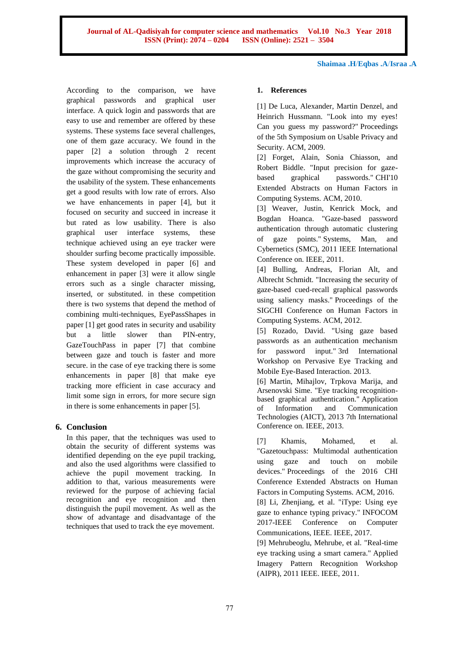According to the comparison, we have graphical passwords and graphical user interface. A quick login and passwords that are easy to use and remember are offered by these systems. These systems face several challenges, one of them gaze accuracy. We found in the paper [2] a solution through 2 recent improvements which increase the accuracy of the gaze without compromising the security and the usability of the system. These enhancements get a good results with low rate of errors. Also we have enhancements in paper [4], but it focused on security and succeed in increase it but rated as low usability. There is also graphical user interface systems, these technique achieved using an eye tracker were shoulder surfing become practically impossible. These system developed in paper [6] and enhancement in paper [3] were it allow single errors such as a single character missing, inserted, or substituted. in these competition there is two systems that depend the method of combining multi-techniques, EyePassShapes in paper [1] get good rates in security and usability but a little slower than PIN-entry, GazeTouchPass in paper [7] that combine between gaze and touch is faster and more secure. in the case of eye tracking there is some enhancements in paper [8] that make eye tracking more efficient in case accuracy and limit some sign in errors, for more secure sign in there is some enhancements in paper [5].

# **6. Conclusion**

In this paper, that the techniques was used to obtain the security of different systems was identified depending on the eye pupil tracking, and also the used algorithms were classified to achieve the pupil movement tracking. In addition to that, various measurements were reviewed for the purpose of achieving facial recognition and eye recognition and then distinguish the pupil movement. As well as the show of advantage and disadvantage of the techniques that used to track the eye movement.

#### **1. References**

[1] De Luca, Alexander, Martin Denzel, and Heinrich Hussmann. "Look into my eyes! Can you guess my password?" Proceedings of the 5th Symposium on Usable Privacy and Security. ACM, 2009.

[2] Forget, Alain, Sonia Chiasson, and Robert Biddle. "Input precision for gazebased graphical passwords." CHI'10 Extended Abstracts on Human Factors in Computing Systems. ACM, 2010.

[3] Weaver, Justin, Kenrick Mock, and Bogdan Hoanca. "Gaze-based password authentication through automatic clustering of gaze points." Systems, Man, and Cybernetics (SMC), 2011 IEEE International Conference on. IEEE, 2011.

[4] Bulling, Andreas, Florian Alt, and Albrecht Schmidt. "Increasing the security of gaze-based cued-recall graphical passwords using saliency masks." Proceedings of the SIGCHI Conference on Human Factors in Computing Systems. ACM, 2012.

[5] Rozado, David. "Using gaze based passwords as an authentication mechanism for password input." 3rd International Workshop on Pervasive Eye Tracking and Mobile Eye-Based Interaction. 2013.

[6] Martin, Mihajlov, Trpkova Marija, and Arsenovski Sime. "Eye tracking recognitionbased graphical authentication." Application of Information and Communication Technologies (AICT), 2013 7th International Conference on. IEEE, 2013.

[7] Khamis, Mohamed, et al. "Gazetouchpass: Multimodal authentication using gaze and touch on mobile devices." Proceedings of the 2016 CHI Conference Extended Abstracts on Human Factors in Computing Systems. ACM, 2016. [8] Li, Zhenjiang, et al. "iType: Using eye gaze to enhance typing privacy." INFOCOM 2017-IEEE Conference on Computer Communications, IEEE. IEEE, 2017.

[9] Mehrubeoglu, Mehrube, et al. "Real-time eye tracking using a smart camera." Applied Imagery Pattern Recognition Workshop (AIPR), 2011 IEEE. IEEE, 2011.